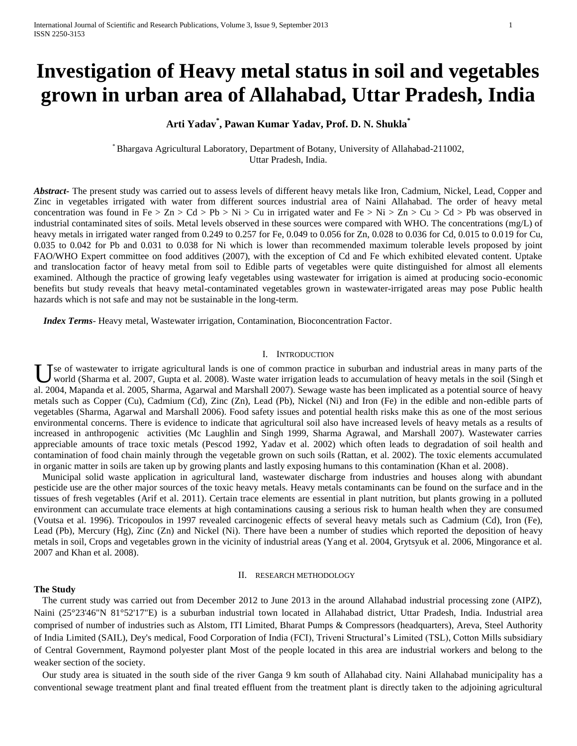# **Investigation of Heavy metal status in soil and vegetables grown in urban area of Allahabad, Uttar Pradesh, India**

# **Arti Yadav\* , Pawan Kumar Yadav, Prof. D. N. Shukla\***

\* Bhargava Agricultural Laboratory, Department of Botany, University of Allahabad-211002, Uttar Pradesh, India.

*Abstract***-** The present study was carried out to assess levels of different heavy metals like Iron, Cadmium, Nickel, Lead, Copper and Zinc in vegetables irrigated with water from different sources industrial area of Naini Allahabad. The order of heavy metal concentration was found in Fe > Zn > Cd > Pb > Ni > Cu in irrigated water and Fe > Ni > Zn > Cu > Cd > Pb was observed in industrial contaminated sites of soils. Metal levels observed in these sources were compared with WHO. The concentrations (mg/L) of heavy metals in irrigated water ranged from 0.249 to 0.257 for Fe, 0.049 to 0.056 for Zn, 0.028 to 0.036 for Cd, 0.015 to 0.019 for Cu, 0.035 to 0.042 for Pb and 0.031 to 0.038 for Ni which is lower than recommended maximum tolerable levels proposed by joint FAO/WHO Expert committee on food additives (2007), with the exception of Cd and Fe which exhibited elevated content. Uptake and translocation factor of heavy metal from soil to Edible parts of vegetables were quite distinguished for almost all elements examined. Although the practice of growing leafy vegetables using wastewater for irrigation is aimed at producing socio-economic benefits but study reveals that heavy metal-contaminated vegetables grown in wastewater-irrigated areas may pose Public health hazards which is not safe and may not be sustainable in the long-term.

 *Index Terms*- Heavy metal, Wastewater irrigation, Contamination, Bioconcentration Factor.

# I. INTRODUCTION

se of wastewater to irrigate agricultural lands is one of common practice in suburban and industrial areas in many parts of the Use of wastewater to irrigate agricultural lands is one of common practice in suburban and industrial areas in many parts of the world (Sharma et al. 2007, Gupta et al. 2008). Waste water irrigation leads to accumulation o al. 2004, Mapanda et al. 2005, Sharma, Agarwal and Marshall 2007). Sewage waste has been implicated as a potential source of heavy metals such as Copper (Cu), Cadmium (Cd), Zinc (Zn), Lead (Pb), Nickel (Ni) and Iron (Fe) in the edible and non-edible parts of vegetables (Sharma, Agarwal and Marshall 2006). Food safety issues and potential health risks make this as one of the most serious environmental concerns. There is evidence to indicate that agricultural soil also have increased levels of heavy metals as a results of increased in anthropogenic activities (Mc Laughlin and Singh 1999, Sharma Agrawal, and Marshall 2007). Wastewater carries appreciable amounts of trace toxic metals (Pescod 1992, Yadav et al. 2002) which often leads to degradation of soil health and contamination of food chain mainly through the vegetable grown on such soils (Rattan, et al. 2002). The toxic elements accumulated in organic matter in soils are taken up by growing plants and lastly exposing humans to this contamination (Khan et al. 2008).

Municipal solid waste application in agricultural land, wastewater discharge from industries and houses along with abundant pesticide use are the other major sources of the toxic heavy metals. Heavy metals contaminants can be found on the surface and in the tissues of fresh vegetables (Arif et al. 2011). Certain trace elements are essential in plant nutrition, but plants growing in a polluted environment can accumulate trace elements at high contaminations causing a serious risk to human health when they are consumed (Voutsa et al. 1996). Tricopoulos in 1997 revealed carcinogenic effects of several heavy metals such as Cadmium (Cd), Iron (Fe), Lead (Pb), Mercury (Hg), Zinc (Zn) and Nickel (Ni). There have been a number of studies which reported the deposition of heavy metals in soil, Crops and vegetables grown in the vicinity of industrial areas (Yang et al. 2004, Grytsyuk et al. 2006, Mingorance et al. 2007 and Khan et al. 2008).

#### II. RESEARCH METHODOLOGY

#### **The Study**

The current study was carried out from December 2012 to June 2013 in the around Allahabad industrial processing zone (AIPZ), Naini (25°23'46"N 81°52'17"E) is a suburban industrial town located in Allahabad district, Uttar Pradesh, India. Industrial area comprised of number of industries such as Alstom, [ITI Limited,](http://en.wikipedia.org/wiki/ITI_Limited) [Bharat Pumps & Compressors](http://en.wikipedia.org/wiki/Bharat_Pumps_%26_Compressors) (headquarters), [Areva,](http://en.wikipedia.org/wiki/Areva) [Steel Authority](http://en.wikipedia.org/wiki/Steel_Authority_of_India_Limited)  [of India Limited](http://en.wikipedia.org/wiki/Steel_Authority_of_India_Limited) (SAIL), [Dey's](http://en.wikipedia.org/w/index.php?title=Dey%27s_Medical&action=edit&redlink=1) [medical,](http://en.wikipedia.org/wiki/Medical) [Food Corporation of India](http://en.wikipedia.org/wiki/Food_Corporation_of_India) (FCI), Triveni Structural's Limited (TSL), Cotton Mills subsidiary of Central Government, Raymond polyester plant Most of the people located in this area are industrial workers and belong to the weaker section of the society.

Our study area is situated in the south side of the river Ganga 9 km south of Allahabad city. Naini Allahabad municipality has a conventional sewage treatment plant and final treated effluent from the treatment plant is directly taken to the adjoining agricultural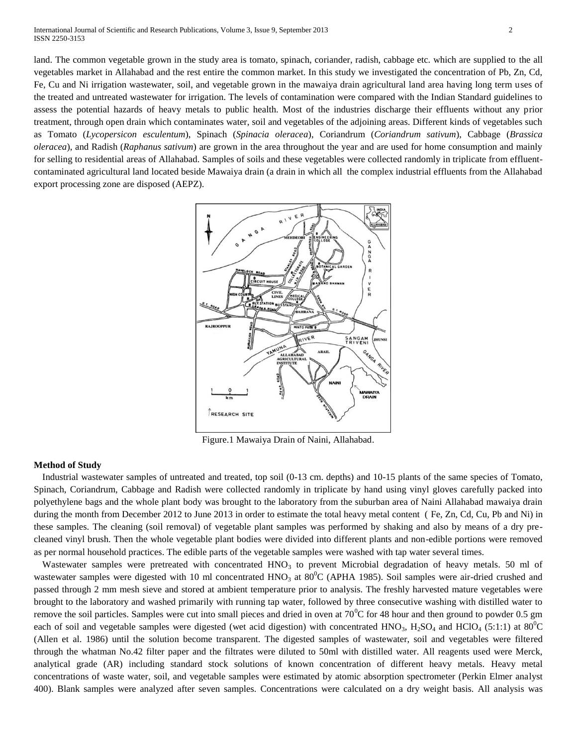land. The common vegetable grown in the study area is tomato, spinach, coriander, radish, cabbage etc. which are supplied to the all vegetables market in Allahabad and the rest entire the common market. In this study we investigated the concentration of Pb, Zn, Cd, Fe, Cu and Ni irrigation wastewater, soil, and vegetable grown in the mawaiya drain agricultural land area having long term uses of the treated and untreated wastewater for irrigation. The levels of contamination were compared with the Indian Standard guidelines to assess the potential hazards of heavy metals to public health. Most of the industries discharge their effluents without any prior treatment, through open drain which contaminates water, soil and vegetables of the adjoining areas. Different kinds of vegetables such as Tomato (*Lycopersicon esculentum*), Spinach (*Spinacia oleracea*), Coriandrum (*Coriandrum sativum*), Cabbage (*Brassica oleracea*), and Radish (*Raphanus sativum*) are grown in the area throughout the year and are used for home consumption and mainly for selling to residential areas of Allahabad. Samples of soils and these vegetables were collected randomly in triplicate from effluentcontaminated agricultural land located beside Mawaiya drain (a drain in which all the complex industrial effluents from the Allahabad export processing zone are disposed (AEPZ).



Figure.1 Mawaiya Drain of Naini, Allahabad.

### **Method of Study**

Industrial wastewater samples of untreated and treated, top soil (0-13 cm. depths) and 10-15 plants of the same species of Tomato, Spinach, Coriandrum, Cabbage and Radish were collected randomly in triplicate by hand using vinyl gloves carefully packed into polyethylene bags and the whole plant body was brought to the laboratory from the suburban area of Naini Allahabad mawaiya drain during the month from December 2012 to June 2013 in order to estimate the total heavy metal content (Fe, Zn, Cd, Cu, Pb and Ni) in these samples. The cleaning (soil removal) of vegetable plant samples was performed by shaking and also by means of a dry precleaned vinyl brush. Then the whole vegetable plant bodies were divided into different plants and non-edible portions were removed as per normal household practices. The edible parts of the vegetable samples were washed with tap water several times.

Wastewater samples were pretreated with concentrated  $HNO<sub>3</sub>$  to prevent Microbial degradation of heavy metals. 50 ml of wastewater samples were digested with 10 ml concentrated HNO<sub>3</sub> at 80<sup>o</sup>C (APHA 1985). Soil samples were air-dried crushed and passed through 2 mm mesh sieve and stored at ambient temperature prior to analysis. The freshly harvested mature vegetables were brought to the laboratory and washed primarily with running tap water, followed by three consecutive washing with distilled water to remove the soil particles. Samples were cut into small pieces and dried in oven at  $70^{\circ}$ C for 48 hour and then ground to powder 0.5 gm each of soil and vegetable samples were digested (wet acid digestion) with concentrated  $HNO_3$ ,  $H_2SO_4$  and  $HClO_4$  (5:1:1) at  $80^0C$ (Allen et al. 1986) until the solution become transparent. The digested samples of wastewater, soil and vegetables were filtered through the whatman No.42 filter paper and the filtrates were diluted to 50ml with distilled water. All reagents used were Merck, analytical grade (AR) including standard stock solutions of known concentration of different heavy metals. Heavy metal concentrations of waste water, soil, and vegetable samples were estimated by atomic absorption spectrometer (Perkin Elmer analyst 400). Blank samples were analyzed after seven samples. Concentrations were calculated on a dry weight basis. All analysis was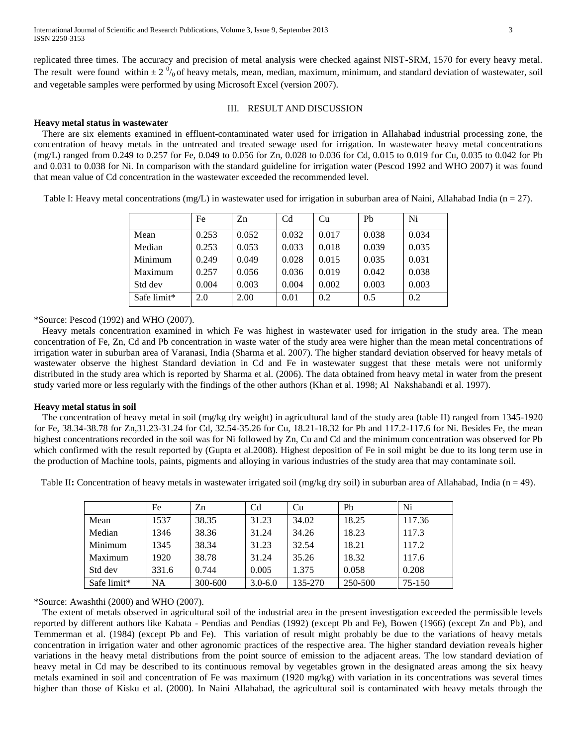replicated three times. The accuracy and precision of metal analysis were checked against NIST-SRM, 1570 for every heavy metal. The result were found within  $\pm 2 \frac{0}{0}$  of heavy metals, mean, median, maximum, minimum, and standard deviation of wastewater, soil and vegetable samples were performed by using Microsoft Excel (version 2007).

# III. RESULT AND DISCUSSION

#### **Heavy metal status in wastewater**

There are six elements examined in effluent-contaminated water used for irrigation in Allahabad industrial processing zone, the concentration of heavy metals in the untreated and treated sewage used for irrigation. In wastewater heavy metal concentrations (mg/L) ranged from 0.249 to 0.257 for Fe, 0.049 to 0.056 for Zn, 0.028 to 0.036 for Cd, 0.015 to 0.019 for Cu, 0.035 to 0.042 for Pb and 0.031 to 0.038 for Ni. In comparison with the standard guideline for irrigation water (Pescod 1992 and WHO 2007) it was found that mean value of Cd concentration in the wastewater exceeded the recommended level.

Table I: Heavy metal concentrations  $(mg/L)$  in wastewater used for irrigation in suburban area of Naini, Allahabad India (n = 27).

|             | Fe    | Zn    | C <sub>d</sub> | Cu    | P <sub>b</sub> | Ni    |
|-------------|-------|-------|----------------|-------|----------------|-------|
| Mean        | 0.253 | 0.052 | 0.032          | 0.017 | 0.038          | 0.034 |
| Median      | 0.253 | 0.053 | 0.033          | 0.018 | 0.039          | 0.035 |
| Minimum     | 0.249 | 0.049 | 0.028          | 0.015 | 0.035          | 0.031 |
| Maximum     | 0.257 | 0.056 | 0.036          | 0.019 | 0.042          | 0.038 |
| Std dev     | 0.004 | 0.003 | 0.004          | 0.002 | 0.003          | 0.003 |
| Safe limit* | 2.0   | 2.00  | 0.01           | 0.2   | 0.5            | 0.2   |

\*Source: Pescod (1992) and WHO (2007).

Heavy metals concentration examined in which Fe was highest in wastewater used for irrigation in the study area. The mean concentration of Fe, Zn, Cd and Pb concentration in waste water of the study area were higher than the mean metal concentrations of irrigation water in suburban area of Varanasi, India (Sharma et al. 2007). The higher standard deviation observed for heavy metals of wastewater observe the highest Standard deviation in Cd and Fe in wastewater suggest that these metals were not uniformly distributed in the study area which is reported by Sharma et al. (2006). The data obtained from heavy metal in water from the present study varied more or less regularly with the findings of the other authors (Khan et al. 1998; Al Nakshabandi et al. 1997).

#### **Heavy metal status in soil**

The concentration of heavy metal in soil (mg/kg dry weight) in agricultural land of the study area (table II) ranged from 1345-1920 for Fe, 38.34-38.78 for Zn,31.23-31.24 for Cd, 32.54-35.26 for Cu, 18.21-18.32 for Pb and 117.2-117.6 for Ni. Besides Fe, the mean highest concentrations recorded in the soil was for Ni followed by Zn, Cu and Cd and the minimum concentration was observed for Pb which confirmed with the result reported by (Gupta et al.2008). Highest deposition of Fe in soil might be due to its long term use in the production of Machine tools, paints, pigments and alloying in various industries of the study area that may contaminate soil.

Table II: Concentration of heavy metals in wastewater irrigated soil (mg/kg dry soil) in suburban area of Allahabad, India (n = 49).

|             | Fe        | Zn      | C <sub>d</sub> | Cu      | Pb      | Ni     |
|-------------|-----------|---------|----------------|---------|---------|--------|
| Mean        | 1537      | 38.35   | 31.23          | 34.02   | 18.25   | 117.36 |
| Median      | 1346      | 38.36   | 31.24          | 34.26   | 18.23   | 117.3  |
| Minimum     | 1345      | 38.34   | 31.23          | 32.54   | 18.21   | 117.2  |
| Maximum     | 1920      | 38.78   | 31.24          | 35.26   | 18.32   | 117.6  |
| Std dev     | 331.6     | 0.744   | 0.005          | 1.375   | 0.058   | 0.208  |
| Safe limit* | <b>NA</b> | 300-600 | $3.0 - 6.0$    | 135-270 | 250-500 | 75-150 |

\*Source: Awashthi (2000) and WHO (2007).

The extent of metals observed in agricultural soil of the industrial area in the present investigation exceeded the permissible levels reported by different authors like Kabata - Pendias and Pendias (1992) (except Pb and Fe), Bowen (1966) (except Zn and Pb), and Temmerman et al. (1984) (except Pb and Fe). This variation of result might probably be due to the variations of heavy metals concentration in irrigation water and other agronomic practices of the respective area. The higher standard deviation reveals higher variations in the heavy metal distributions from the point source of emission to the adjacent areas. The low standard deviation of heavy metal in Cd may be described to its continuous removal by vegetables grown in the designated areas among the six heavy metals examined in soil and concentration of Fe was maximum (1920 mg/kg) with variation in its concentrations was several times higher than those of Kisku et al. (2000). In Naini Allahabad, the agricultural soil is contaminated with heavy metals through the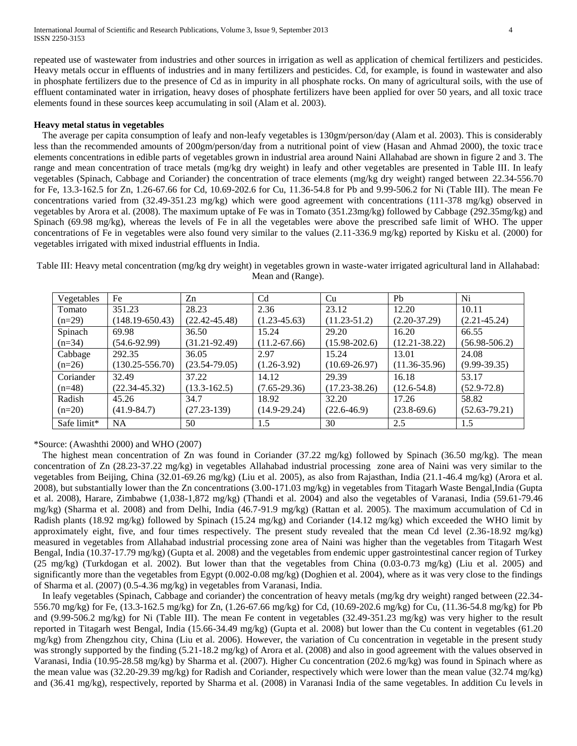repeated use of wastewater from industries and other sources in irrigation as well as application of chemical fertilizers and pesticides. Heavy metals occur in effluents of industries and in many fertilizers and pesticides. Cd, for example, is found in wastewater and also in phosphate fertilizers due to the presence of Cd as in impurity in all phosphate rocks. On many of agricultural soils, with the use of effluent contaminated water in irrigation, heavy doses of phosphate fertilizers have been applied for over 50 years, and all toxic trace elements found in these sources keep accumulating in soil (Alam et al. 2003).

#### **Heavy metal status in vegetables**

The average per capita consumption of leafy and non-leafy vegetables is 130gm/person/day (Alam et al. 2003). This is considerably less than the recommended amounts of 200gm/person/day from a nutritional point of view (Hasan and Ahmad 2000), the toxic trace elements concentrations in edible parts of vegetables grown in industrial area around Naini Allahabad are shown in figure 2 and 3. The range and mean concentration of trace metals (mg/kg dry weight) in leafy and other vegetables are presented in Table III. In leafy vegetables (Spinach, Cabbage and Coriander) the concentration of trace elements (mg/kg dry weight) ranged between 22.34-556.70 for Fe, 13.3-162.5 for Zn, 1.26-67.66 for Cd, 10.69-202.6 for Cu, 11.36-54.8 for Pb and 9.99-506.2 for Ni (Table III). The mean Fe concentrations varied from (32.49-351.23 mg/kg) which were good agreement with concentrations (111-378 mg/kg) observed in vegetables by Arora et al. (2008). The maximum uptake of Fe was in Tomato (351.23mg/kg) followed by Cabbage (292.35mg/kg) and Spinach (69.98 mg/kg), whereas the levels of Fe in all the vegetables were above the prescribed safe limit of WHO. The upper concentrations of Fe in vegetables were also found very similar to the values (2.11-336.9 mg/kg) reported by Kisku et al. (2000) for vegetables irrigated with mixed industrial effluents in India.

Table III: Heavy metal concentration (mg/kg dry weight) in vegetables grown in waste-water irrigated agricultural land in Allahabad: Mean and (Range).

| Vegetables  | Fe                  | Zn                | C <sub>d</sub>   | Cu                | Pb                | Ni                |
|-------------|---------------------|-------------------|------------------|-------------------|-------------------|-------------------|
| Tomato      | 351.23              | 28.23             | 2.36             | 23.12             | 12.20             | 10.11             |
| $(n=29)$    | $(148.19 - 650.43)$ | $(22.42 - 45.48)$ | $(1.23 - 45.63)$ | $(11.23 - 51.2)$  | $(2.20-37.29)$    | $(2.21 - 45.24)$  |
| Spinach     | 69.98               | 36.50             | 15.24            | 29.20             | 16.20             | 66.55             |
| $(n=34)$    | $(54.6-92.99)$      | $(31.21 - 92.49)$ | $(11.2 - 67.66)$ | $(15.98 - 202.6)$ | $(12.21 - 38.22)$ | $(56.98 - 506.2)$ |
| Cabbage     | 292.35              | 36.05             | 2.97             | 15.24             | 13.01             | 24.08             |
| $(n=26)$    | $(130.25 - 556.70)$ | $(23.54 - 79.05)$ | $(1.26 - 3.92)$  | $(10.69 - 26.97)$ | $(11.36 - 35.96)$ | $(9.99-39.35)$    |
| Coriander   | 32.49               | 37.22             | 14.12            | 29.39             | 16.18             | 53.17             |
| $(n=48)$    | $(22.34 - 45.32)$   | $(13.3 - 162.5)$  | $(7.65 - 29.36)$ | $(17.23 - 38.26)$ | $(12.6 - 54.8)$   | $(52.9 - 72.8)$   |
| Radish      | 45.26               | 34.7              | 18.92            | 32.20             | 17.26             | 58.82             |
| $(n=20)$    | $(41.9 - 84.7)$     | $(27.23-139)$     | $(14.9 - 29.24)$ | $(22.6 - 46.9)$   | $(23.8-69.6)$     | $(52.63 - 79.21)$ |
| Safe limit* | NA                  | 50                | 1.5              | 30                | 2.5               | 1.5               |

\*Source: (Awashthi 2000) and WHO (2007)

The highest mean concentration of Zn was found in Coriander  $(37.22 \text{ mg/kg})$  followed by Spinach  $(36.50 \text{ mg/kg})$ . The mean concentration of Zn (28.23-37.22 mg/kg) in vegetables Allahabad industrial processing zone area of Naini was very similar to the vegetables from Beijing, China (32.01-69.26 mg/kg) (Liu et al. 2005), as also from Rajasthan, India (21.1-46.4 mg/kg) (Arora et al. 2008), but substantially lower than the Zn concentrations (3.00-171.03 mg/kg) in vegetables from Titagarh Waste Bengal,India (Gupta et al. 2008), Harare, Zimbabwe (1,038-1,872 mg/kg) (Thandi et al. 2004) and also the vegetables of Varanasi, India (59.61-79.46 mg/kg) (Sharma et al. 2008) and from Delhi, India (46.7-91.9 mg/kg) (Rattan et al. 2005). The maximum accumulation of Cd in Radish plants (18.92 mg/kg) followed by Spinach (15.24 mg/kg) and Coriander (14.12 mg/kg) which exceeded the WHO limit by approximately eight, five, and four times respectively. The present study revealed that the mean Cd level (2.36-18.92 mg/kg) measured in vegetables from Allahabad industrial processing zone area of Naini was higher than the vegetables from Titagarh West Bengal, India (10.37-17.79 mg/kg) (Gupta et al. 2008) and the vegetables from endemic upper gastrointestinal cancer region of Turkey (25 mg/kg) (Turkdogan et al. 2002). But lower than that the vegetables from China (0.03-0.73 mg/kg) (Liu et al. 2005) and significantly more than the vegetables from Egypt (0.002-0.08 mg/kg) (Doghien et al. 2004), where as it was very close to the findings of Sharma et al. (2007) (0.5-4.36 mg/kg) in vegetables from Varanasi, India.

In leafy vegetables (Spinach, Cabbage and coriander) the concentration of heavy metals (mg/kg dry weight) ranged between (22.34- 556.70 mg/kg) for Fe, (13.3-162.5 mg/kg) for Zn, (1.26-67.66 mg/kg) for Cd, (10.69-202.6 mg/kg) for Cu, (11.36-54.8 mg/kg) for Pb and (9.99-506.2 mg/kg) for Ni (Table III). The mean Fe content in vegetables (32.49-351.23 mg/kg) was very higher to the result reported in Titagarh west Bengal, India (15.66-34.49 mg/kg) (Gupta et al. 2008) but lower than the Cu content in vegetables (61.20 mg/kg) from Zhengzhou city, China (Liu et al. 2006). However, the variation of Cu concentration in vegetable in the present study was strongly supported by the finding (5.21-18.2 mg/kg) of Arora et al. (2008) and also in good agreement with the values observed in Varanasi, India (10.95-28.58 mg/kg) by Sharma et al. (2007). Higher Cu concentration (202.6 mg/kg) was found in Spinach where as the mean value was (32.20-29.39 mg/kg) for Radish and Coriander, respectively which were lower than the mean value (32.74 mg/kg) and (36.41 mg/kg), respectively, reported by Sharma et al. (2008) in Varanasi India of the same vegetables. In addition Cu levels in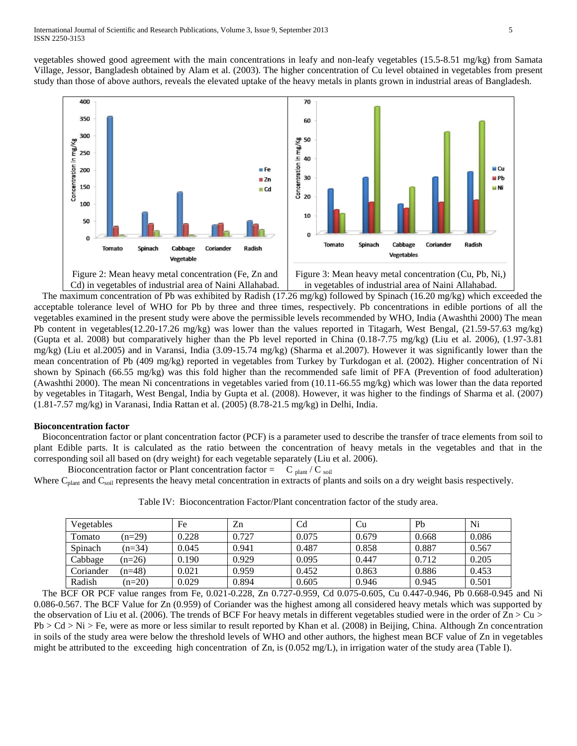vegetables showed good agreement with the main concentrations in leafy and non-leafy vegetables (15.5-8.51 mg/kg) from Samata Village, Jessor, Bangladesh obtained by Alam et al. (2003). The higher concentration of Cu level obtained in vegetables from present study than those of above authors, reveals the elevated uptake of the heavy metals in plants grown in industrial areas of Bangladesh.



The maximum concentration of Pb was exhibited by Radish (17.26 mg/kg) followed by Spinach (16.20 mg/kg) which exceeded the acceptable tolerance level of WHO for Pb by three and three times, respectively. Pb concentrations in edible portions of all the vegetables examined in the present study were above the permissible levels recommended by WHO, India (Awashthi 2000) The mean Pb content in vegetables(12.20-17.26 mg/kg) was lower than the values reported in Titagarh, West Bengal, (21.59-57.63 mg/kg) (Gupta et al. 2008) but comparatively higher than the Pb level reported in China (0.18-7.75 mg/kg) (Liu et al. 2006), (1.97-3.81 mg/kg) (Liu et al.2005) and in Varansi, India (3.09-15.74 mg/kg) (Sharma et al.2007). However it was significantly lower than the mean concentration of Pb (409 mg/kg) reported in vegetables from Turkey by Turkdogan et al. (2002). Higher concentration of Ni shown by Spinach (66.55 mg/kg) was this fold higher than the recommended safe limit of PFA (Prevention of food adulteration) (Awashthi 2000). The mean Ni concentrations in vegetables varied from (10.11-66.55 mg/kg) which was lower than the data reported by vegetables in Titagarh, West Bengal, India by Gupta et al. (2008). However, it was higher to the findings of Sharma et al. (2007) (1.81-7.57 mg/kg) in Varanasi, India Rattan et al. (2005) (8.78-21.5 mg/kg) in Delhi, India.

# **Bioconcentration factor**

Bioconcentration factor or plant concentration factor (PCF) is a parameter used to describe the transfer of trace elements from soil to plant Edible parts. It is calculated as the ratio between the concentration of heavy metals in the vegetables and that in the corresponding soil all based on (dry weight) for each vegetable separately (Liu et al. 2006).

Bioconcentration factor or Plant concentration factor =  $C_{\text{plant}}/C_{\text{soil}}$ Where  $C_{\text{plant}}$  and  $C_{\text{soil}}$  represents the heavy metal concentration in extracts of plants and soils on a dry weight basis respectively.

| Vegetables |          | Fe    | Zn    | C <sub>d</sub> | Cu    | Pb    | Ni    |
|------------|----------|-------|-------|----------------|-------|-------|-------|
| Tomato     | $(n=29)$ | 0.228 | 0.727 | 0.075          | 0.679 | 0.668 | 0.086 |
| Spinach    | $(n=34)$ | 0.045 | 0.941 | 0.487          | 0.858 | 0.887 | 0.567 |
| Cabbage    | $(n=26)$ | 0.190 | 0.929 | 0.095          | 0.447 | 0.712 | 0.205 |
| Coriander  | $(n=48)$ | 0.021 | 0.959 | 0.452          | 0.863 | 0.886 | 0.453 |
| Radish     | $(n=20)$ | 0.029 | 0.894 | 0.605          | 0.946 | 0.945 | 0.501 |

Table IV: Bioconcentration Factor/Plant concentration factor of the study area.

The BCF OR PCF value ranges from Fe, 0.021-0.228, Zn 0.727-0.959, Cd 0.075-0.605, Cu 0.447-0.946, Pb 0.668-0.945 and Ni 0.086-0.567. The BCF Value for Zn (0.959) of Coriander was the highest among all considered heavy metals which was supported by the observation of Liu et al. (2006). The trends of BCF For heavy metals in different vegetables studied were in the order of  $Zn > Cu$ Pb > Cd > Ni > Fe, were as more or less similar to result reported by Khan et al. (2008) in Beijing, China. Although Zn concentration in soils of the study area were below the threshold levels of WHO and other authors, the highest mean BCF value of Zn in vegetables might be attributed to the exceeding high concentration of Zn, is (0.052 mg/L), in irrigation water of the study area (Table I).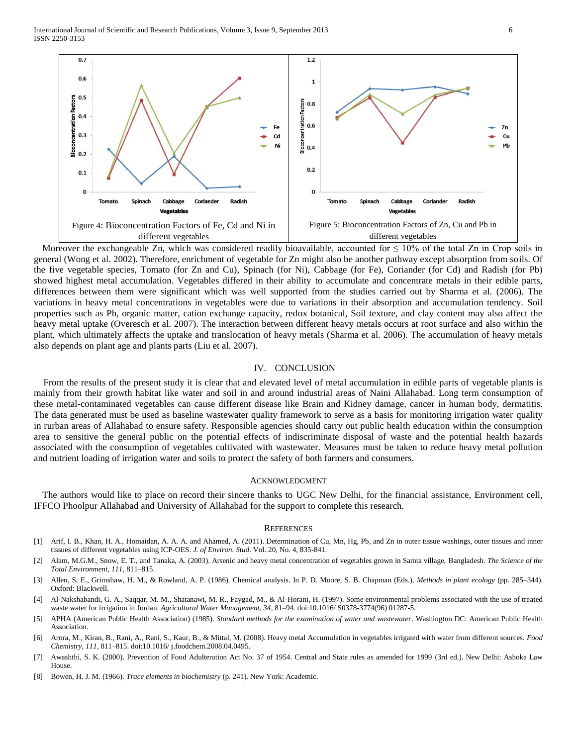International Journal of Scientific and Research Publications, Volume 3, Issue 9, September 2013 6 ISSN 2250-3153



Moreover the exchangeable Zn, which was considered readily bioavailable, accounted for  $\leq 10\%$  of the total Zn in Crop soils in general (Wong et al. 2002). Therefore, enrichment of vegetable for Zn might also be another pathway except absorption from soils. Of the five vegetable species, Tomato (for Zn and Cu), Spinach (for Ni), Cabbage (for Fe), Coriander (for Cd) and Radish (for Pb) showed highest metal accumulation. Vegetables differed in their ability to accumulate and concentrate metals in their edible parts, differences between them were significant which was well supported from the studies carried out by Sharma et al. (2006). The variations in heavy metal concentrations in vegetables were due to variations in their absorption and accumulation tendency. Soil properties such as Ph, organic matter, cation exchange capacity, redox botanical, Soil texture, and clay content may also affect the heavy metal uptake (Overesch et al. 2007). The interaction between different heavy metals occurs at root surface and also within the plant, which ultimately affects the uptake and translocation of heavy metals (Sharma et al. 2006). The accumulation of heavy metals also depends on plant age and plants parts (Liu et al. 2007).

#### IV. CONCLUSION

From the results of the present study it is clear that and elevated level of metal accumulation in edible parts of vegetable plants is mainly from their growth habitat like water and soil in and around industrial areas of Naini Allahabad. Long term consumption of these metal-contaminated vegetables can cause different disease like Brain and Kidney damage, cancer in human body, dermatitis. The data generated must be used as baseline wastewater quality framework to serve as a basis for monitoring irrigation water quality in rurban areas of Allahabad to ensure safety. Responsible agencies should carry out public health education within the consumption area to sensitive the general public on the potential effects of indiscriminate disposal of waste and the potential health hazards associated with the consumption of vegetables cultivated with wastewater. Measures must be taken to reduce heavy metal pollution and nutrient loading of irrigation water and soils to protect the safety of both farmers and consumers.

#### ACKNOWLEDGMENT

The authors would like to place on record their sincere thanks to UGC New Delhi, for the financial assistance, Environment cell, IFFCO Phoolpur Allahabad and University of Allahabad for the support to complete this research.

#### **REFERENCES**

- [1] Arif, I. B., Khan, H. A., Homaidan, A. A. A. and Ahamed, A. (2011). Determination of Cu, Mn, Hg, Pb, and Zn in outer tissue washings, outer tissues and inner tissues of different vegetables using ICP-OES. *J. of Environ. Stud*. Vol. 20, No. 4, 835-841.
- [2] Alam, M.G.M., Snow, E. T., and Tanaka, A. (2003). Arsenic and heavy metal concentration of vegetables grown in Samta village, Bangladesh. *The Science of the Total Environment, 111*, 811–815.
- [3] Allen, S. E., Grimshaw, H. M., & Rowland, A. P. (1986). Chemical analysis. In P. D. Moore, S. B. Chapman (Eds.), *Methods in plant ecology* (pp. 285–344). Oxford: Blackwell.
- [4] Al-Nakshabandi, G. A., Saqqar, M. M., Shatanawi, M. R., Faygad, M., & Al-Horani, H. (1997). Some environmental problems associated with the use of treated waste water for irrigation in Jordan. *Agricultural Water Management, 34*, 81–94. doi:10.1016/ S0378-3774(96) 01287-5.
- [5] APHA (American Public Health Association) (1985). *Standard methods for the examination of water and wastewater*. Washington DC: American Public Health Association.
- [6] Arora, M., Kiran, B., Rani, A., Rani, S., Kaur, B., & Mittal, M. (2008). Heavy metal Accumulation in vegetables irrigated with water from different sources. *Food Chemistry, 111*, 811–815. doi:10.1016/ j.foodchem.2008.04.0495.
- [7] Awashthi, S. K. (2000). Prevention of Food Adulteration Act No. 37 of 1954. Central and State rules as amended for 1999 (3rd ed.). New Delhi: Ashoka Law **House**
- [8] Bowen, H. J. M. (1966). *Trace elements in biochemistry* (p. 241). New York: Academic.